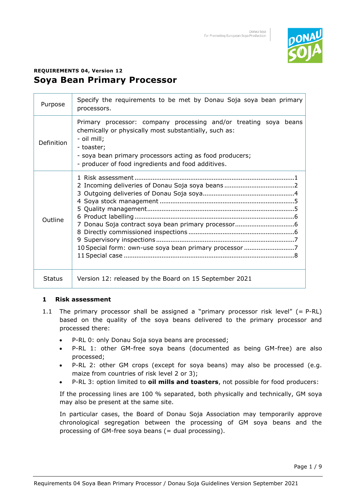

# **REQUIREMENTS 04, Version 12 Soya Bean Primary Processor**

| Purpose       | Specify the requirements to be met by Donau Soja soya bean primary<br>processors.                                                                                                                                                                                        |  |  |  |  |  |  |
|---------------|--------------------------------------------------------------------------------------------------------------------------------------------------------------------------------------------------------------------------------------------------------------------------|--|--|--|--|--|--|
| Definition    | Primary processor: company processing and/or treating soya beans<br>chemically or physically most substantially, such as:<br>- oil mill;<br>- toaster;<br>- soya bean primary processors acting as food producers;<br>- producer of food ingredients and food additives. |  |  |  |  |  |  |
| Outline       | 10 Special form: own-use soya bean primary processor 7                                                                                                                                                                                                                   |  |  |  |  |  |  |
| <b>Status</b> | Version 12: released by the Board on 15 September 2021                                                                                                                                                                                                                   |  |  |  |  |  |  |

#### **1 Risk assessment**

- 1.1 The primary processor shall be assigned a "primary processor risk level"  $(= P-RL)$ based on the quality of the soya beans delivered to the primary processor and processed there:
	- P-RL 0: only Donau Soja soya beans are processed;
	- P-RL 1: other GM-free soya beans (documented as being GM-free) are also processed;
	- P-RL 2: other GM crops (except for soya beans) may also be processed (e.g. maize from countries of risk level 2 or 3);
	- P-RL 3: option limited to **oil mills and toasters**, not possible for food producers:

If the processing lines are 100 % separated, both physically and technically, GM soya may also be present at the same site.

In particular cases, the Board of Donau Soja Association may temporarily approve chronological segregation between the processing of GM soya beans and the processing of GM-free soya beans (= dual processing).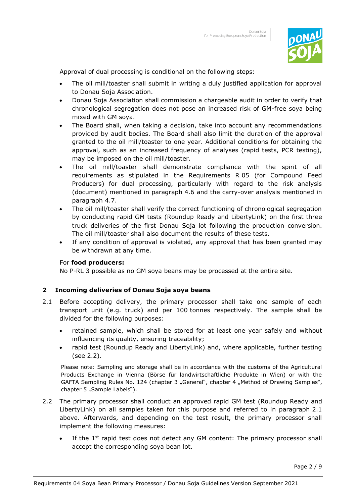

Approval of dual processing is conditional on the following steps:

- The oil mill/toaster shall submit in writing a duly justified application for approval to Donau Soja Association.
- Donau Soja Association shall commission a chargeable audit in order to verify that chronological segregation does not pose an increased risk of GM-free soya being mixed with GM soya.
- The Board shall, when taking a decision, take into account any recommendations provided by audit bodies. The Board shall also limit the duration of the approval granted to the oil mill/toaster to one year. Additional conditions for obtaining the approval, such as an increased frequency of analyses (rapid tests, PCR testing), may be imposed on the oil mill/toaster.
- The oil mill/toaster shall demonstrate compliance with the spirit of all requirements as stipulated in the Requirements R 05 (for Compound Feed Producers) for dual processing, particularly with regard to the risk analysis (document) mentioned in paragraph 4.6 and the carry-over analysis mentioned in paragraph 4.7.
- The oil mill/toaster shall verify the correct functioning of chronological segregation by conducting rapid GM tests (Roundup Ready and LibertyLink) on the first three truck deliveries of the first Donau Soja lot following the production conversion. The oil mill/toaster shall also document the results of these tests.
- If any condition of approval is violated, any approval that has been granted may be withdrawn at any time.

#### For **food producers:**

No P-RL 3 possible as no GM soya beans may be processed at the entire site.

#### **2 Incoming deliveries of Donau Soja soya beans**

- 2.1 Before accepting delivery, the primary processor shall take one sample of each transport unit (e.g. truck) and per 100 tonnes respectively. The sample shall be divided for the following purposes:
	- retained sample, which shall be stored for at least one year safely and without influencing its quality, ensuring traceability;
	- rapid test (Roundup Ready and LibertyLink) and, where applicable, further testing (see 2.2).

Please note: Sampling and storage shall be in accordance with the customs of the Agricultural Products Exchange in Vienna (Börse für landwirtschaftliche Produkte in Wien) or with the GAFTA Sampling Rules No. 124 (chapter 3 "General", chapter 4 "Method of Drawing Samples", chapter 5 "Sample Labels").

- 2.2 The primary processor shall conduct an approved rapid GM test (Roundup Ready and LibertyLink) on all samples taken for this purpose and referred to in paragraph 2.1 above. Afterwards, and depending on the test result, the primary processor shall implement the following measures:
	- If the  $1<sup>st</sup>$  rapid test does not detect any GM content: The primary processor shall accept the corresponding soya bean lot.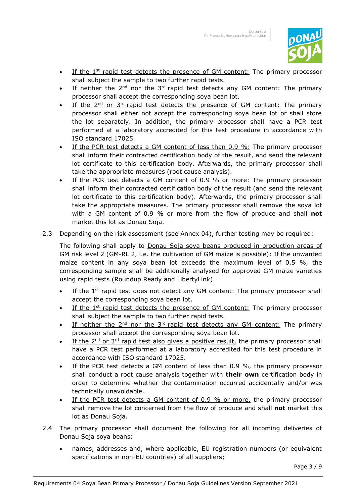

- If the  $1<sup>st</sup>$  rapid test detects the presence of GM content: The primary processor shall subject the sample to two further rapid tests.
- If neither the  $2^{nd}$  nor the  $3^{rd}$  rapid test detects any GM content: The primary processor shall accept the corresponding soya bean lot.
- If the  $2^{nd}$  or  $3^{rd}$  rapid test detects the presence of GM content: The primary processor shall either not accept the corresponding soya bean lot or shall store the lot separately. In addition, the primary processor shall have a PCR test performed at a laboratory accredited for this test procedure in accordance with ISO standard 17025.
- If the PCR test detects a GM content of less than 0.9 %: The primary processor shall inform their contracted certification body of the result, and send the relevant lot certificate to this certification body. Afterwards, the primary processor shall take the appropriate measures (root cause analysis).
- If the PCR test detects a GM content of 0.9 % or more: The primary processor shall inform their contracted certification body of the result (and send the relevant lot certificate to this certification body). Afterwards, the primary processor shall take the appropriate measures. The primary processor shall remove the soya lot with a GM content of 0.9 % or more from the flow of produce and shall **not** market this lot as Donau Soja.
- 2.3 Depending on the risk assessment (see Annex 04), further testing may be required:

The following shall apply to Donau Soja soya beans produced in production areas of GM risk level 2 (GM-RL 2, i.e. the cultivation of GM maize is possible): If the unwanted maize content in any soya bean lot exceeds the maximum level of 0.5 %, the corresponding sample shall be additionally analysed for approved GM maize varieties using rapid tests (Roundup Ready and LibertyLink).

- If the  $1<sup>st</sup>$  rapid test does not detect any GM content: The primary processor shall accept the corresponding soya bean lot.
- If the  $1<sup>st</sup>$  rapid test detects the presence of GM content: The primary processor shall subject the sample to two further rapid tests.
- If neither the  $2^{nd}$  nor the  $3^{rd}$  rapid test detects any GM content: The primary processor shall accept the corresponding soya bean lot.
- If the  $2^{nd}$  or  $3^{rd}$  rapid test also gives a positive result, the primary processor shall have a PCR test performed at a laboratory accredited for this test procedure in accordance with ISO standard 17025.
- If the PCR test detects a GM content of less than  $0.9 \%$ , the primary processor shall conduct a root cause analysis together with **their own** certification body in order to determine whether the contamination occurred accidentally and/or was technically unavoidable.
- If the PCR test detects a GM content of 0.9 % or more, the primary processor shall remove the lot concerned from the flow of produce and shall **not** market this lot as Donau Soja.
- 2.4 The primary processor shall document the following for all incoming deliveries of Donau Soja soya beans:
	- names, addresses and, where applicable, EU registration numbers (or equivalent specifications in non-EU countries) of all suppliers;

Page 3 / 9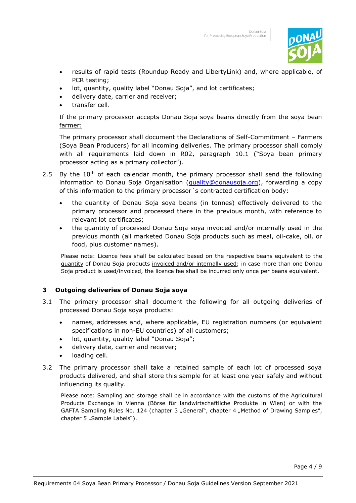

- results of rapid tests (Roundup Ready and LibertyLink) and, where applicable, of PCR testing;
- lot, quantity, quality label "Donau Soja", and lot certificates;
- delivery date, carrier and receiver;
- transfer cell.

## If the primary processor accepts Donau Soja soya beans directly from the soya bean farmer:

The primary processor shall document the Declarations of Self-Commitment – Farmers (Soya Bean Producers) for all incoming deliveries. The primary processor shall comply with all requirements laid down in R02, paragraph 10.1 ("Soya bean primary processor acting as a primary collector").

- 2.5 By the  $10<sup>th</sup>$  of each calendar month, the primary processor shall send the following information to Donau Soja Organisation [\(quality@donausoja.org\)](mailto:quality@donausoja.org), forwarding a copy of this information to the primary processor´s contracted certification body:
	- the quantity of Donau Soja soya beans (in tonnes) effectively delivered to the primary processor and processed there in the previous month, with reference to relevant lot certificates;
	- the quantity of processed Donau Soja soya invoiced and/or internally used in the previous month (all marketed Donau Soja products such as meal, oil-cake, oil, or food, plus customer names).

Please note: Licence fees shall be calculated based on the respective beans equivalent to the guantity of Donau Soja products invoiced and/or internally used; in case more than one Donau Soja product is used/invoiced, the licence fee shall be incurred only once per beans equivalent.

# **3 Outgoing deliveries of Donau Soja soya**

- 3.1 The primary processor shall document the following for all outgoing deliveries of processed Donau Soja soya products:
	- names, addresses and, where applicable, EU registration numbers (or equivalent specifications in non-EU countries) of all customers;
	- lot, quantity, quality label "Donau Soja";
	- delivery date, carrier and receiver;
	- loading cell.
- 3.2 The primary processor shall take a retained sample of each lot of processed soya products delivered, and shall store this sample for at least one year safely and without influencing its quality.

Please note: Sampling and storage shall be in accordance with the customs of the Agricultural Products Exchange in Vienna (Börse für landwirtschaftliche Produkte in Wien) or with the GAFTA Sampling Rules No. 124 (chapter 3 "General", chapter 4 "Method of Drawing Samples", chapter 5 "Sample Labels").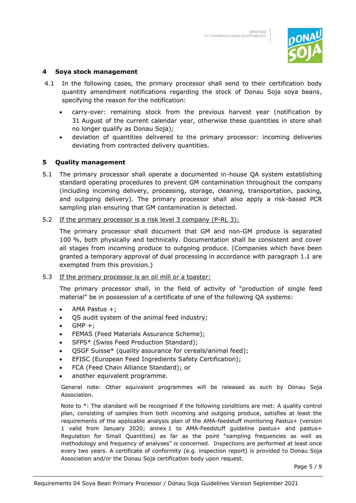

#### **4 Soya stock management**

- 4.1 In the following cases, the primary processor shall send to their certification body quantity amendment notifications regarding the stock of Donau Soja soya beans, specifying the reason for the notification:
	- carry-over: remaining stock from the previous harvest year (notification by 31 August of the current calendar year, otherwise these quantities in store shall no longer qualify as Donau Soja);
	- deviation of quantities delivered to the primary processor: incoming deliveries deviating from contracted delivery quantities.

#### **5 Quality management**

- 5.1 The primary processor shall operate a documented in-house QA system establishing standard operating procedures to prevent GM contamination throughout the company (including incoming delivery, processing, storage, cleaning, transportation, packing, and outgoing delivery). The primary processor shall also apply a risk-based PCR sampling plan ensuring that GM contamination is detected.
- 5.2 If the primary processor is a risk level 3 company (P-RL 3):

The primary processor shall document that GM and non-GM produce is separated 100 %, both physically and technically. Documentation shall be consistent and cover all stages from incoming produce to outgoing produce. (Companies which have been granted a temporary approval of dual processing in accordance with paragraph 1.1 are exempted from this provision.)

#### 5.3 If the primary processor is an oil mill or a toaster:

The primary processor shall, in the field of activity of "production of single feed material" be in possession of a certificate of one of the following QA systems:

- AMA Pastus +;
- QS audit system of the animal feed industry;
- $GMP +;$
- FEMAS (Feed Materials Assurance Scheme);
- SFPS\* (Swiss Feed Production Standard);
- QSGF Suisse\* (quality assurance for cereals/animal feed);
- EFISC (European Feed Ingredients Safety Certification);
- FCA (Feed Chain Alliance Standard); or
- another equivalent programme.

General note: Other equivalent programmes will be released as such by Donau Soja Association.

Note to \*: The standard will be recognised if the following conditions are met: A quality control plan, consisting of samples from both incoming and outgoing produce, satisfies at least the requirements of the applicable analysis plan of the AMA-feedstuff monitoring Pastus+ (version 1 valid from January 2020; annex 1 to AMA-Feedstuff guideline pastus+ and pastus+ Regulation for Small Quantities) as far as the point "sampling frequencies as well as methodology and frequency of analyses" is concerned. Inspections are performed at least once every two years. A certificate of conformity (e.g. inspection report) is provided to Donau Soja Association and/or the Donau Soja certification body upon request.

Page 5 / 9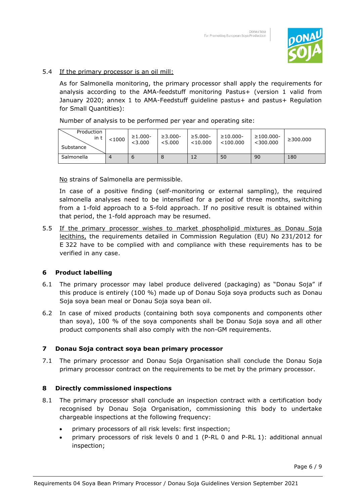

#### 5.4 If the primary processor is an oil mill:

As for Salmonella monitoring, the primary processor shall apply the requirements for analysis according to the AMA-feedstuff monitoring Pastus+ (version 1 valid from January 2020; annex 1 to AMA-Feedstuff guideline pastus+ and pastus+ Regulation for Small Quantities):

Number of analysis to be performed per year and operating site:

| Production<br>in t<br>Substance | < 1000 | $\geq 1.000 -$<br>< 3.000 | $\geq 3.000 -$<br>< 5.000 | $\geq 5.000 -$<br>$<$ 10.000 | $\geq 10.000 -$<br>$<$ 100.000 | $\geq$ 100.000-<br>$<$ 300.000 | $\geq$ 300,000 |
|---------------------------------|--------|---------------------------|---------------------------|------------------------------|--------------------------------|--------------------------------|----------------|
| Salmonella                      | 4      | o                         |                           | 12                           | 50                             | 90                             | 180            |

No strains of Salmonella are permissible.

In case of a positive finding (self-monitoring or external sampling), the required salmonella analyses need to be intensified for a period of three months, switching from a 1-fold approach to a 5-fold approach. If no positive result is obtained within that period, the 1-fold approach may be resumed.

5.5 If the primary processor wishes to market phospholipid mixtures as Donau Soja lecithins, the requirements detailed in Commission Regulation (EU) No 231/2012 for E 322 have to be complied with and compliance with these requirements has to be verified in any case.

#### **6 Product labelling**

- 6.1 The primary processor may label produce delivered (packaging) as "Donau Soja" if this produce is entirely (100 %) made up of Donau Soja soya products such as Donau Soja soya bean meal or Donau Soja soya bean oil.
- 6.2 In case of mixed products (containing both soya components and components other than soya), 100 % of the soya components shall be Donau Soja soya and all other product components shall also comply with the non-GM requirements.

#### **7 Donau Soja contract soya bean primary processor**

7.1 The primary processor and Donau Soja Organisation shall conclude the Donau Soja primary processor contract on the requirements to be met by the primary processor.

#### **8 Directly commissioned inspections**

- 8.1 The primary processor shall conclude an inspection contract with a certification body recognised by Donau Soja Organisation, commissioning this body to undertake chargeable inspections at the following frequency:
	- primary processors of all risk levels: first inspection;
	- primary processors of risk levels 0 and 1 (P-RL 0 and P-RL 1): additional annual inspection;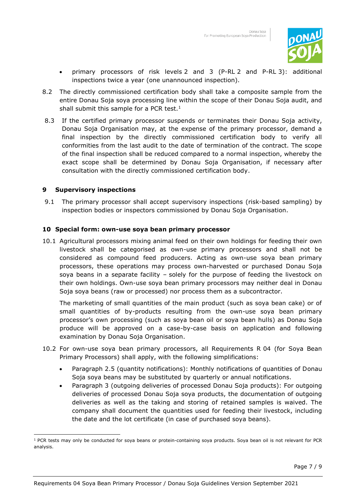

- primary processors of risk levels 2 and 3 (P-RL 2 and P-RL 3): additional inspections twice a year (one unannounced inspection).
- 8.2 The directly commissioned certification body shall take a composite sample from the entire Donau Soja soya processing line within the scope of their Donau Soja audit, and shall submit this sample for a PCR test. $<sup>1</sup>$ </sup>
- 8.3 If the certified primary processor suspends or terminates their Donau Soja activity, Donau Soja Organisation may, at the expense of the primary processor, demand a final inspection by the directly commissioned certification body to verify all conformities from the last audit to the date of termination of the contract. The scope of the final inspection shall be reduced compared to a normal inspection, whereby the exact scope shall be determined by Donau Soja Organisation, if necessary after consultation with the directly commissioned certification body.

#### **9 Supervisory inspections**

9.1 The primary processor shall accept supervisory inspections (risk-based sampling) by inspection bodies or inspectors commissioned by Donau Soja Organisation.

#### **10 Special form: own-use soya bean primary processor**

10.1 Agricultural processors mixing animal feed on their own holdings for feeding their own livestock shall be categorised as own-use primary processors and shall not be considered as compound feed producers. Acting as own-use soya bean primary processors, these operations may process own-harvested or purchased Donau Soja soya beans in a separate facility – solely for the purpose of feeding the livestock on their own holdings. Own-use soya bean primary processors may neither deal in Donau Soja soya beans (raw or processed) nor process them as a subcontractor.

The marketing of small quantities of the main product (such as soya bean cake) or of small quantities of by-products resulting from the own-use soya bean primary processor's own processing (such as soya bean oil or soya bean hulls) as Donau Soja produce will be approved on a case-by-case basis on application and following examination by Donau Soja Organisation.

- 10.2 For own-use soya bean primary processors, all Requirements R 04 (for Soya Bean Primary Processors) shall apply, with the following simplifications:
	- Paragraph 2.5 (quantity notifications): Monthly notifications of quantities of Donau Soja soya beans may be substituted by quarterly or annual notifications.
	- Paragraph 3 (outgoing deliveries of processed Donau Soja products): For outgoing deliveries of processed Donau Soja soya products, the documentation of outgoing deliveries as well as the taking and storing of retained samples is waived. The company shall document the quantities used for feeding their livestock, including the date and the lot certificate (in case of purchased soya beans).

<sup>&</sup>lt;sup>1</sup> PCR tests may only be conducted for soya beans or protein-containing soya products. Soya bean oil is not relevant for PCR analysis.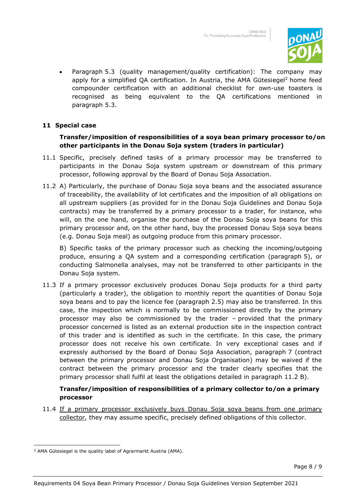

• Paragraph 5.3 (quality management/quality certification): The company may apply for a simplified QA certification. In Austria, the AMA Gütesiegel 2 home feed compounder certification with an additional checklist for own-use toasters is recognised as being equivalent to the QA certifications mentioned in paragraph 5.3.

## **11 Special case**

## **Transfer/imposition of responsibilities of a soya bean primary processor to/on other participants in the Donau Soja system (traders in particular)**

- 11.1 Specific, precisely defined tasks of a primary processor may be transferred to participants in the Donau Soja system upstream or downstream of this primary processor, following approval by the Board of Donau Soja Association.
- 11.2 A) Particularly, the purchase of Donau Soja soya beans and the associated assurance of traceability, the availability of lot certificates and the imposition of all obligations on all upstream suppliers (as provided for in the Donau Soja Guidelines and Donau Soja contracts) may be transferred by a primary processor to a trader, for instance, who will, on the one hand, organise the purchase of the Donau Soja soya beans for this primary processor and, on the other hand, buy the processed Donau Soja soya beans (e.g. Donau Soja meal) as outgoing produce from this primary processor.

B) Specific tasks of the primary processor such as checking the incoming/outgoing produce, ensuring a QA system and a corresponding certification (paragraph 5), or conducting Salmonella analyses, may not be transferred to other participants in the Donau Soja system.

11.3 If a primary processor exclusively produces Donau Soja products for a third party (particularly a trader), the obligation to monthly report the quantities of Donau Soja soya beans and to pay the licence fee (paragraph 2.5) may also be transferred. In this case, the inspection which is normally to be commissioned directly by the primary processor may also be commissioned by the trader – provided that the primary processor concerned is listed as an external production site in the inspection contract of this trader and is identified as such in the certificate. In this case, the primary processor does not receive his own certificate. In very exceptional cases and if expressly authorised by the Board of Donau Soja Association, paragraph 7 (contract between the primary processor and Donau Soja Organisation) may be waived if the contract between the primary processor and the trader clearly specifies that the primary processor shall fulfil at least the obligations detailed in paragraph 11.2 B).

## **Transfer/imposition of responsibilities of a primary collector to/on a primary processor**

11.4 If a primary processor exclusively buys Donau Soja soya beans from one primary collector, they may assume specific, precisely defined obligations of this collector.

<sup>2</sup> AMA Gütesiegel is the quality label of Agrarmarkt Austria (AMA).